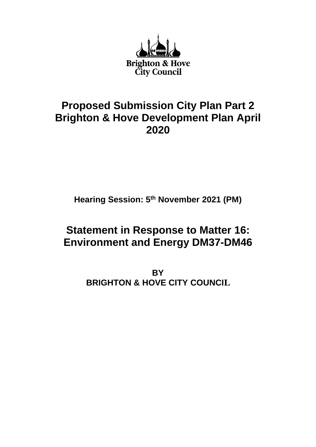

# **Proposed Submission City Plan Part 2 Brighton & Hove Development Plan April 2020**

**Hearing Session: 5 th November 2021 (PM)**

# **Statement in Response to Matter 16: Environment and Energy DM37-DM46**

**BY BRIGHTON & HOVE CITY COUNCIL**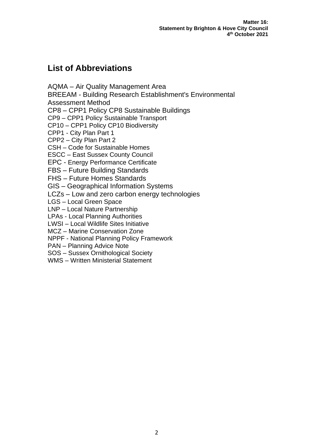# **List of Abbreviations**

AQMA – Air Quality Management Area

BREEAM - Building Research Establishment's Environmental

Assessment Method

CP8 – CPP1 Policy CP8 Sustainable Buildings

CP9 – CPP1 Policy Sustainable Transport

CP10 – CPP1 Policy CP10 Biodiversity

CPP1 - City Plan Part 1

CPP2 – City Plan Part 2

CSH – Code for Sustainable Homes

ESCC – East Sussex County Council

EPC - Energy Performance Certificate

FBS – Future Building Standards

FHS – Future Homes Standards

GIS – Geographical Information Systems

LCZs – Low and zero carbon energy technologies

LGS – Local Green Space

LNP – Local Nature Partnership

LPAs - Local Planning Authorities

LWSI – Local Wildlife Sites Initiative

MCZ – Marine Conservation Zone

NPPF - National Planning Policy Framework

PAN – Planning Advice Note

SOS – Sussex Ornithological Society

WMS – Written Ministerial Statement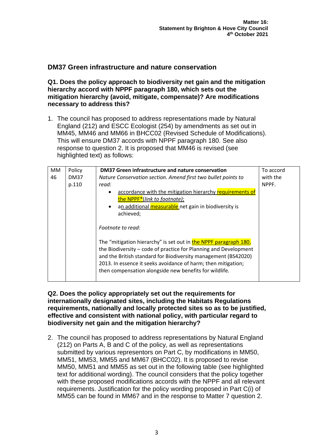# **DM37 Green infrastructure and nature conservation**

**Q1. Does the policy approach to biodiversity net gain and the mitigation hierarchy accord with NPPF paragraph 180, which sets out the mitigation hierarchy (avoid, mitigate, compensate)? Are modifications necessary to address this?**

1. The council has proposed to address representations made by Natural England (212) and ESCC Ecologist (254) by amendments as set out in MM45, MM46 and MM66 in BHCC02 (Revised Schedule of Modifications). This will ensure DM37 accords with NPPF paragraph 180. See also response to question 2. It is proposed that MM46 is revised (see highlighted text) as follows:

| MM | Policy      | DM37 Green infrastructure and nature conservation                                                                                                                                                                                                                                                                                 | To accord |
|----|-------------|-----------------------------------------------------------------------------------------------------------------------------------------------------------------------------------------------------------------------------------------------------------------------------------------------------------------------------------|-----------|
| 46 | <b>DM37</b> | Nature Conservation section. Amend first two bullet points to                                                                                                                                                                                                                                                                     | with the  |
|    | p.110       | read:                                                                                                                                                                                                                                                                                                                             | NPPF.     |
|    |             | accordance with the mitigation hierarchy requirements of<br>the NPPF <sup>*</sup> (link to footnote);<br>an additional measurable net gain in biodiversity is<br>$\bullet$<br>achieved;                                                                                                                                           |           |
|    |             | Footnote to read:                                                                                                                                                                                                                                                                                                                 |           |
|    |             | The "mitigation hierarchy" is set out in the NPPF paragraph 180,<br>the Biodiversity – code of practice for Planning and Development<br>and the British standard for Biodiversity management (BS42020)<br>2013. In essence it seeks avoidance of harm; then mitigation;<br>then compensation alongside new benefits for wildlife. |           |

#### **Q2. Does the policy appropriately set out the requirements for internationally designated sites, including the Habitats Regulations requirements, nationally and locally protected sites so as to be justified, effective and consistent with national policy, with particular regard to biodiversity net gain and the mitigation hierarchy?**

2. The council has proposed to address representations by Natural England (212) on Parts A, B and C of the policy, as well as representations submitted by various representors on Part C, by modifications in MM50, MM51, MM53, MM55 and MM67 (BHCC02). It is proposed to revise MM50, MM51 and MM55 as set out in the following table (see highlighted text for additional wording). The council considers that the policy together with these proposed modifications accords with the NPPF and all relevant requirements. Justification for the policy wording proposed in Part C(i) of MM55 can be found in MM67 and in the response to Matter 7 question 2.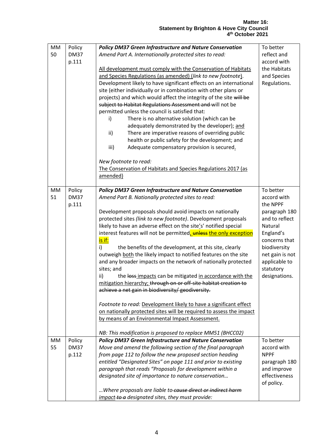| <b>MM</b> | Policy      | <b>Policy DM37 Green Infrastructure and Nature Conservation</b>     | To better       |
|-----------|-------------|---------------------------------------------------------------------|-----------------|
| 50        | <b>DM37</b> | Amend Part A. Internationally protected sites to read:              | reflect and     |
|           | p.111       |                                                                     | accord with     |
|           |             | All development must comply with the Conservation of Habitats       | the Habitats    |
|           |             | and Species Regulations (as amended) (link to new footnote).        | and Species     |
|           |             | Development likely to have significant effects on an international  | Regulations.    |
|           |             | site (either individually or in combination with other plans or     |                 |
|           |             | projects) and which would affect the integrity of the site will be  |                 |
|           |             | subject to Habitat Regulations Assessment and will not be           |                 |
|           |             | permitted unless the council is satisfied that:                     |                 |
|           |             | There is no alternative solution (which can be<br>i)                |                 |
|           |             | adequately demonstrated by the developer); and                      |                 |
|           |             | There are imperative reasons of overriding public<br>ii)            |                 |
|           |             | health or public safety for the development; and                    |                 |
|           |             | iii)<br>Adequate compensatory provision is secured.                 |                 |
|           |             | New footnote to read:                                               |                 |
|           |             | The Conservation of Habitats and Species Regulations 2017 (as       |                 |
|           |             | amended)                                                            |                 |
| MM        | Policy      | <b>Policy DM37 Green Infrastructure and Nature Conservation</b>     | To better       |
| 51        | <b>DM37</b> | Amend Part B. Nationally protected sites to read:                   | accord with     |
|           | p.111       |                                                                     | the NPPF        |
|           |             | Development proposals should avoid impacts on nationally            | paragraph 180   |
|           |             | protected sites (link to new footnote). Development proposals       | and to reflect  |
|           |             | likely to have an adverse effect on the site's' notified special    | Natural         |
|           |             | interest features will not be permitted, unless the only exception  | England's       |
|           |             | is if:                                                              | concerns that   |
|           |             | i)<br>the benefits of the development, at this site, clearly        | biodiversity    |
|           |             | outweigh both the likely impact to notified features on the site    | net gain is not |
|           |             | and any broader impacts on the network of nationally protected      | applicable to   |
|           |             | sites; and                                                          | statutory       |
|           |             | ii)<br>the loss impacts can be mitigated in accordance with the     | designations.   |
|           |             | mitigation hierarchy; through on or off-site habitat creation to    |                 |
|           |             | achieve a net gain in biodiversity/ geodiversity.                   |                 |
|           |             | Footnote to read: Development likely to have a significant effect   |                 |
|           |             | on nationally protected sites will be required to assess the impact |                 |
|           |             | by means of an Environmental Impact Assessment.                     |                 |
|           |             | NB: This modification is proposed to replace MM51 (BHCC02)          |                 |
| MM        | Policy      | <b>Policy DM37 Green Infrastructure and Nature Conservation</b>     | To better       |
| 55        | <b>DM37</b> | Move and amend the following section of the final paragraph         | accord with     |
|           | p.112       | from page 112 to follow the new proposed section heading            | <b>NPPF</b>     |
|           |             | entitled "Designated Sites" on page 111 and prior to existing       | paragraph 180   |
|           |             | paragraph that reads "Proposals for development within a            | and improve     |
|           |             | designated site of importance to nature conservation                | effectiveness   |
|           |             |                                                                     | of policy.      |
|           |             | Where proposals are liable to cause direct or indirect harm         |                 |
|           |             | impact-to-a designated sites, they must provide:                    |                 |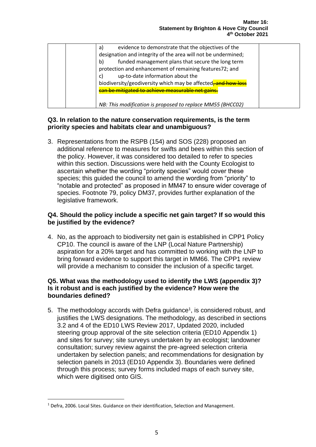| evidence to demonstrate that the objectives of the<br>a)      |  |
|---------------------------------------------------------------|--|
| designation and integrity of the area will not be undermined; |  |
| funded management plans that secure the long term<br>b)       |  |
| protection and enhancement of remaining features72; and       |  |
| up-to-date information about the<br>C)                        |  |
| biodiversity/geodiversity which may be affected, and how loss |  |
| can be mitigated to achieve measurable net gains.             |  |
|                                                               |  |
| NB: This modification is proposed to replace MM55 (BHCC02)    |  |

#### **Q3. In relation to the nature conservation requirements, is the term priority species and habitats clear and unambiguous?**

3. Representations from the RSPB (154) and SOS (228) proposed an additional reference to measures for swifts and bees within this section of the policy. However, it was considered too detailed to refer to species within this section. Discussions were held with the County Ecologist to ascertain whether the wording "priority species" would cover these species; this guided the council to amend the wording from "priority" to "notable and protected" as proposed in MM47 to ensure wider coverage of species. Footnote 79, policy DM37, provides further explanation of the legislative framework.

#### **Q4. Should the policy include a specific net gain target? If so would this be justified by the evidence?**

4. No, as the approach to biodiversity net gain is established in CPP1 Policy CP10. The council is aware of the LNP (Local Nature Partnership) aspiration for a 20% target and has committed to working with the LNP to bring forward evidence to support this target in MM66. The CPP1 review will provide a mechanism to consider the inclusion of a specific target.

#### **Q5. What was the methodology used to identify the LWS (appendix 3)? Is it robust and is each justified by the evidence? How were the boundaries defined?**

5. The methodology accords with Defra guidance<sup>1</sup>, is considered robust, and justifies the LWS designations. The methodology, as described in sections 3.2 and 4 of the ED10 LWS Review 2017, Updated 2020, included steering group approval of the site selection criteria (ED10 Appendix 1) and sites for survey; site surveys undertaken by an ecologist; landowner consultation; survey review against the pre-agreed selection criteria undertaken by selection panels; and recommendations for designation by selection panels in 2013 (ED10 Appendix 3). Boundaries were defined through this process; survey forms included maps of each survey site, which were digitised onto GIS.

<sup>&</sup>lt;sup>1</sup> Defra, 2006. Local Sites. Guidance on their identification, Selection and Management.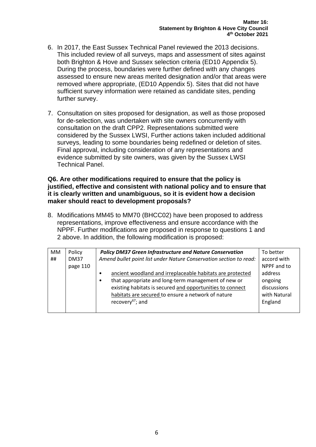- 6. In 2017, the East Sussex Technical Panel reviewed the 2013 decisions. This included review of all surveys, maps and assessment of sites against both Brighton & Hove and Sussex selection criteria (ED10 Appendix 5). During the process, boundaries were further defined with any changes assessed to ensure new areas merited designation and/or that areas were removed where appropriate, (ED10 Appendix 5). Sites that did not have sufficient survey information were retained as candidate sites, pending further survey.
- 7. Consultation on sites proposed for designation, as well as those proposed for de-selection, was undertaken with site owners concurrently with consultation on the draft CPP2. Representations submitted were considered by the Sussex LWSI, Further actions taken included additional surveys, leading to some boundaries being redefined or deletion of sites. Final approval, including consideration of any representations and evidence submitted by site owners, was given by the Sussex LWSI Technical Panel.

#### **Q6. Are other modifications required to ensure that the policy is justified, effective and consistent with national policy and to ensure that it is clearly written and unambiguous, so it is evident how a decision maker should react to development proposals?**

8. Modifications MM45 to MM70 (BHCC02) have been proposed to address representations, improve effectiveness and ensure accordance with the NPPF. Further modifications are proposed in response to questions 1 and 2 above. In addition, the following modification is proposed:

| MM | Policy      | <b>Policy DM37 Green Infrastructure and Nature Conservation</b>        | To better    |
|----|-------------|------------------------------------------------------------------------|--------------|
| ## | <b>DM37</b> | Amend bullet point list under Nature Conservation section to read:     | accord with  |
|    | page 110    |                                                                        | NPPF and to  |
|    |             | ancient woodland and irreplaceable habitats are protected<br>$\bullet$ | address      |
|    |             | that appropriate and long-term management of new or<br>$\bullet$       | ongoing      |
|    |             | existing habitats is secured and opportunities to connect              | discussions  |
|    |             | habitats are secured to ensure a network of nature                     | with Natural |
|    |             | recovery <sup>67</sup> ; and                                           | England      |
|    |             |                                                                        |              |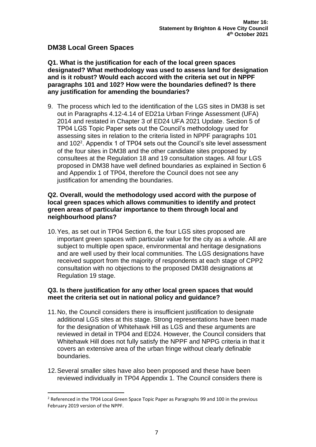## **DM38 Local Green Spaces**

**Q1. What is the justification for each of the local green spaces designated? What methodology was used to assess land for designation and is it robust? Would each accord with the criteria set out in NPPF paragraphs 101 and 102? How were the boundaries defined? Is there any justification for amending the boundaries?** 

9. The process which led to the identification of the LGS sites in DM38 is set out in Paragraphs 4.12-4.14 of ED21a Urban Fringe Assessment (UFA) 2014 and restated in Chapter 3 of ED24 UFA 2021 Update. Section 5 of TP04 LGS Topic Paper sets out the Council's methodology used for assessing sites in relation to the criteria listed in NPPF paragraphs 101 and 102<sup>2</sup>. Appendix 1 of TP04 sets out the Council's site level assessment of the four sites in DM38 and the other candidate sites proposed by consultees at the Regulation 18 and 19 consultation stages. All four LGS proposed in DM38 have well defined boundaries as explained in Section 6 and Appendix 1 of TP04, therefore the Council does not see any justification for amending the boundaries.

#### **Q2. Overall, would the methodology used accord with the purpose of local green spaces which allows communities to identify and protect green areas of particular importance to them through local and neighbourhood plans?**

10.Yes, as set out in TP04 Section 6, the four LGS sites proposed are important green spaces with particular value for the city as a whole. All are subject to multiple open space, environmental and heritage designations and are well used by their local communities. The LGS designations have received support from the majority of respondents at each stage of CPP2 consultation with no objections to the proposed DM38 designations at Regulation 19 stage.

#### **Q3. Is there justification for any other local green spaces that would meet the criteria set out in national policy and guidance?**

- 11.No, the Council considers there is insufficient justification to designate additional LGS sites at this stage. Strong representations have been made for the designation of Whitehawk Hill as LGS and these arguments are reviewed in detail in TP04 and ED24. However, the Council considers that Whitehawk Hill does not fully satisfy the NPPF and NPPG criteria in that it covers an extensive area of the urban fringe without clearly definable boundaries.
- 12.Several smaller sites have also been proposed and these have been reviewed individually in TP04 Appendix 1. The Council considers there is

 $<sup>2</sup>$  Referenced in the TP04 Local Green Space Topic Paper as Paragraphs 99 and 100 in the previous</sup> February 2019 version of the NPPF.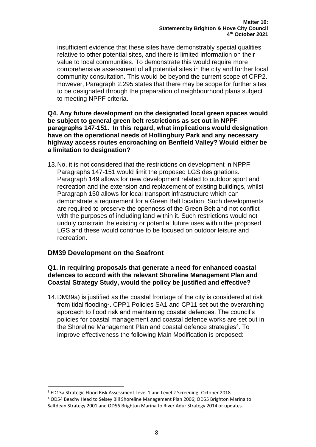insufficient evidence that these sites have demonstrably special qualities relative to other potential sites, and there is limited information on their value to local communities. To demonstrate this would require more comprehensive assessment of all potential sites in the city and further local community consultation. This would be beyond the current scope of CPP2. However, Paragraph 2.295 states that there may be scope for further sites to be designated through the preparation of neighbourhood plans subject to meeting NPPF criteria.

**Q4. Any future development on the designated local green spaces would be subject to general green belt restrictions as set out in NPPF paragraphs 147-151. In this regard, what implications would designation have on the operational needs of Hollingbury Park and any necessary highway access routes encroaching on Benfield Valley? Would either be a limitation to designation?**

13.No, it is not considered that the restrictions on development in NPPF Paragraphs 147-151 would limit the proposed LGS designations. Paragraph 149 allows for new development related to outdoor sport and recreation and the extension and replacement of existing buildings, whilst Paragraph 150 allows for local transport infrastructure which can demonstrate a requirement for a Green Belt location. Such developments are required to preserve the openness of the Green Belt and not conflict with the purposes of including land within it. Such restrictions would not unduly constrain the existing or potential future uses within the proposed LGS and these would continue to be focused on outdoor leisure and recreation.

# **DM39 Development on the Seafront**

#### **Q1. In requiring proposals that generate a need for enhanced coastal defences to accord with the relevant Shoreline Management Plan and Coastal Strategy Study, would the policy be justified and effective?**

14.DM39a) is justified as the coastal frontage of the city is considered at risk from tidal flooding<sup>3</sup>. CPP1 Policies SA1 and CP11 set out the overarching approach to flood risk and maintaining coastal defences. The council's policies for coastal management and coastal defence works are set out in the Shoreline Management Plan and coastal defence strategies<sup>4</sup>. To improve effectiveness the following Main Modification is proposed:

<sup>3</sup> ED13a Strategic Flood Risk Assessment Level 1 and Level 2 Screening -October 2018

<sup>4</sup> OD54 Beachy Head to Selsey Bill Shoreline Management Plan 2006; OD55 Brighton Marina to Saltdean Strategy 2001 and OD56 Brighton Marina to River Adur Strategy 2014 or updates.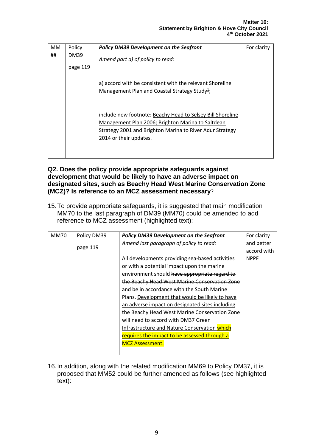| MM | Policy      | <b>Policy DM39 Development on the Seafront</b>                                                                                                                                                        | For clarity |
|----|-------------|-------------------------------------------------------------------------------------------------------------------------------------------------------------------------------------------------------|-------------|
| ## | <b>DM39</b> | Amend part a) of policy to read:                                                                                                                                                                      |             |
|    | page 119    |                                                                                                                                                                                                       |             |
|    |             | a) accord with be consistent with the relevant Shoreline<br>Management Plan and Coastal Strategy Study <sup>1</sup> ;                                                                                 |             |
|    |             | include new footnote: Beachy Head to Selsey Bill Shoreline<br>Management Plan 2006; Brighton Marina to Saltdean<br>Strategy 2001 and Brighton Marina to River Adur Strategy<br>2014 or their updates. |             |

#### **Q2. Does the policy provide appropriate safeguards against development that would be likely to have an adverse impact on designated sites, such as Beachy Head West Marine Conservation Zone (MCZ)? Is reference to an MCZ assessment necessary**?

15.To provide appropriate safeguards, it is suggested that main modification MM70 to the last paragraph of DM39 (MM70) could be amended to add reference to MCZ assessment (highlighted text):

| <b>MM70</b> | Policy DM39 | <b>Policy DM39 Development on the Seafront</b>  | For clarity |
|-------------|-------------|-------------------------------------------------|-------------|
|             |             | Amend last paragraph of policy to read:         | and better  |
|             | page 119    |                                                 | accord with |
|             |             | All developments providing sea-based activities | <b>NPPF</b> |
|             |             | or with a potential impact upon the marine      |             |
|             |             | environment should have appropriate regard to   |             |
|             |             | the Beachy Head West Marine Conservation Zone   |             |
|             |             | and be in accordance with the South Marine      |             |
|             |             | Plans. Development that would be likely to have |             |
|             |             | an adverse impact on designated sites including |             |
|             |             | the Beachy Head West Marine Conservation Zone   |             |
|             |             | will need to accord with DM37 Green             |             |
|             |             | Infrastructure and Nature Conservation which    |             |
|             |             | requires the impact to be assessed through a    |             |
|             |             | <b>MCZ Assessment.</b>                          |             |
|             |             |                                                 |             |

16.In addition, along with the related modification MM69 to Policy DM37, it is proposed that MM52 could be further amended as follows (see highlighted text):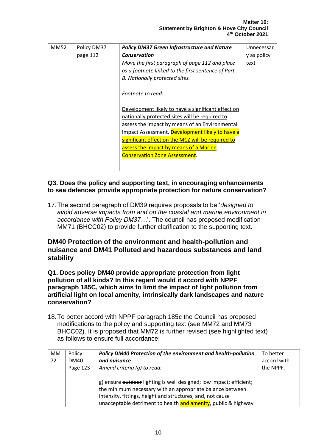| <b>MM52</b> | Policy DM37 | <b>Policy DM37 Green Infrastructure and Nature</b> | Unnecessar  |
|-------------|-------------|----------------------------------------------------|-------------|
|             | page 112    | <b>Conservation</b>                                | y as policy |
|             |             | Move the first paragraph of page 112 and place     | text        |
|             |             | as a footnote linked to the first sentence of Part |             |
|             |             | B. Nationally protected sites.                     |             |
|             |             |                                                    |             |
|             |             | Footnote to read:                                  |             |
|             |             |                                                    |             |
|             |             | Development likely to have a significant effect on |             |
|             |             | nationally protected sites will be required to     |             |
|             |             | assess the impact by means of an Environmental     |             |
|             |             | Impact Assessment. Development likely to have a    |             |
|             |             | significant effect on the MCZ will be required to  |             |
|             |             | assess the impact by means of a Marine             |             |
|             |             | <b>Conservation Zone Assessment.</b>               |             |
|             |             |                                                    |             |
|             |             |                                                    |             |

#### **Q3. Does the policy and supporting text, in encouraging enhancements to sea defences provide appropriate protection for nature conservation?**

17.The second paragraph of DM39 requires proposals to be '*designed to avoid adverse impacts from and on the coastal and marine environment in accordance with Policy DM37…*'. The council has proposed modification MM71 (BHCC02) to provide further clarification to the supporting text.

## **DM40 Protection of the environment and health-pollution and nuisance and DM41 Polluted and hazardous substances and land stability**

**Q1. Does policy DM40 provide appropriate protection from light pollution of all kinds? In this regard would it accord with NPPF paragraph 185C, which aims to limit the impact of light pollution from artificial light on local amenity, intrinsically dark landscapes and nature conservation?**

18.To better accord with NPPF paragraph 185c the Council has proposed modifications to the policy and supporting text (see MM72 and MM73 BHCC02). It is proposed that MM72 is further revised (see highlighted text) as follows to ensure full accordance:

| MM | Policy      | Policy DM40 Protection of the environment and health-pollution      | To better   |
|----|-------------|---------------------------------------------------------------------|-------------|
| 72 | <b>DM40</b> | and nuisance                                                        | accord with |
|    | Page 123    | Amend criteria (q) to read:                                         | the NPPF.   |
|    |             |                                                                     |             |
|    |             | g) ensure outdoor lighting is well designed; low impact; efficient; |             |
|    |             | the minimum necessary with an appropriate balance between           |             |
|    |             | intensity, fittings, height and structures; and, not cause          |             |
|    |             | unacceptable detriment to health and amenity, public & highway      |             |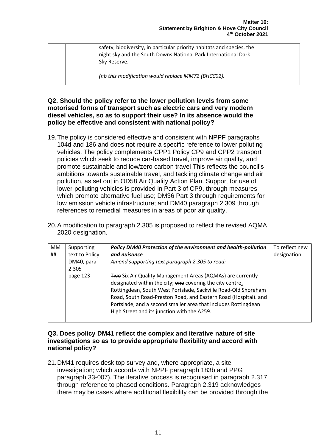|  | safety, biodiversity, in particular priority habitats and species, the<br>night sky and the South Downs National Park International Dark<br>Sky Reserve. |  |
|--|----------------------------------------------------------------------------------------------------------------------------------------------------------|--|
|  | (nb this modification would replace MM72 (BHCC02).                                                                                                       |  |

#### **Q2. Should the policy refer to the lower pollution levels from some motorised forms of transport such as electric cars and very modern diesel vehicles, so as to support their use? In its absence would the policy be effective and consistent with national policy?**

- 19.The policy is considered effective and consistent with NPPF paragraphs 104d and 186 and does not require a specific reference to lower polluting vehicles. The policy complements CPP1 Policy CP9 and CPP2 transport policies which seek to reduce car-based travel, improve air quality, and promote sustainable and low/zero carbon travel This reflects the council's ambitions towards sustainable travel, and tackling climate change and air pollution, as set out in OD58 Air Quality Action Plan. Support for use of lower-polluting vehicles is provided in Part 3 of CP9, through measures which promote alternative fuel use; DM36 Part 3 through requirements for low emission vehicle infrastructure; and DM40 paragraph 2.309 through references to remedial measures in areas of poor air quality.
- 20.A modification to paragraph 2.305 is proposed to reflect the revised AQMA 2020 designation.

| MM | Supporting     | Policy DM40 Protection of the environment and health-pollution    | To reflect new |
|----|----------------|-------------------------------------------------------------------|----------------|
| ## | text to Policy | and nuisance                                                      | designation    |
|    | DM40, para     | Amend supporting text paragraph 2.305 to read:                    |                |
|    | 2.305          |                                                                   |                |
|    | page 123       | <b>Two Six Air Quality Management Areas (AQMAs) are currently</b> |                |
|    |                | designated within the city; one covering the city centre,         |                |
|    |                | Rottingdean, South West Portslade, Sackville Road-Old Shoreham    |                |
|    |                | Road, South Road-Preston Road, and Eastern Road (Hospital). and   |                |
|    |                | Portslade, and a second smaller area that includes Rottingdean    |                |
|    |                | High Street and its junction with the A259.                       |                |
|    |                |                                                                   |                |

#### **Q3. Does policy DM41 reflect the complex and iterative nature of site investigations so as to provide appropriate flexibility and accord with national policy?**

21.DM41 requires desk top survey and, where appropriate, a site investigation; which accords with NPPF paragraph 183b and PPG paragraph 33-007). The iterative process is recognised in paragraph 2.317 through reference to phased conditions. Paragraph 2.319 acknowledges there may be cases where additional flexibility can be provided through the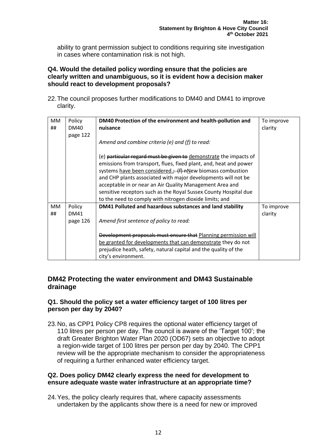ability to grant permission subject to conditions requiring site investigation in cases where contamination risk is not high.

#### **Q4. Would the detailed policy wording ensure that the policies are clearly written and unambiguous, so it is evident how a decision maker should react to development proposals?**

22.The council proposes further modifications to DM40 and DM41 to improve clarity.

| MM | Policy      | DM40 Protection of the environment and health-pollution and       | To improve |
|----|-------------|-------------------------------------------------------------------|------------|
| ## | DM40        | nuisance                                                          | clarity    |
|    | page 122    |                                                                   |            |
|    |             | Amend and combine criteria (e) and (f) to read:                   |            |
|    |             |                                                                   |            |
|    |             | (e) particular regard must be given to demonstrate the impacts of |            |
|    |             | emissions from transport, flues, fixed plant, and, heat and power |            |
|    |             | systems have been considered.; (f) nNew biomass combustion        |            |
|    |             | and CHP plants associated with major developments will not be     |            |
|    |             | acceptable in or near an Air Quality Management Area and          |            |
|    |             | sensitive receptors such as the Royal Sussex County Hospital due  |            |
|    |             | to the need to comply with nitrogen dioxide limits; and           |            |
| MM | Policy      | DM41 Polluted and hazardous substances and land stability         | To improve |
| ## | <b>DM41</b> |                                                                   | clarity    |
|    | page 126    | Amend first sentence of policy to read:                           |            |
|    |             |                                                                   |            |
|    |             | Development proposals must ensure that Planning permission will   |            |
|    |             | be granted for developments that can demonstrate they do not      |            |
|    |             | prejudice heath, safety, natural capital and the quality of the   |            |
|    |             | city's environment.                                               |            |

## **DM42 Protecting the water environment and DM43 Sustainable drainage**

#### **Q1. Should the policy set a water efficiency target of 100 litres per person per day by 2040?**

23.No, as CPP1 Policy CP8 requires the optional water efficiency target of 110 litres per person per day. The council is aware of the 'Target 100'; the draft Greater Brighton Water Plan 2020 (OD67) sets an objective to adopt a region-wide target of 100 litres per person per day by 2040. The CPP1 review will be the appropriate mechanism to consider the appropriateness of requiring a further enhanced water efficiency target.

#### **Q2. Does policy DM42 clearly express the need for development to ensure adequate waste water infrastructure at an appropriate time?**

24.Yes, the policy clearly requires that, where capacity assessments undertaken by the applicants show there is a need for new or improved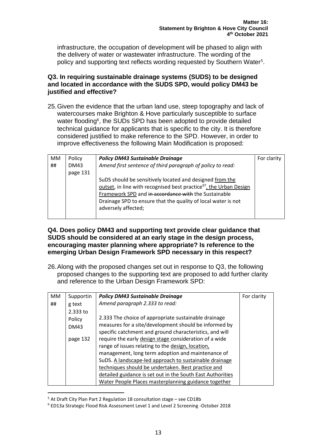infrastructure, the occupation of development will be phased to align with the delivery of water or wastewater infrastructure. The wording of the policy and supporting text reflects wording requested by Southern Water<sup>5</sup>.

#### **Q3. In requiring sustainable drainage systems (SUDS) to be designed and located in accordance with the SUDS SPD, would policy DM43 be justified and effective?**

25.Given the evidence that the urban land use, steep topography and lack of watercourses make Brighton & Hove particularly susceptible to surface water flooding<sup>6</sup>, the SUDs SPD has been adopted to provide detailed technical guidance for applicants that is specific to the city. It is therefore considered justified to make reference to the SPD. However, in order to improve effectiveness the following Main Modification is proposed:

| MM | Policy      | <b>Policy DM43 Sustainable Drainage</b>                                        | For clarity |
|----|-------------|--------------------------------------------------------------------------------|-------------|
| ## | <b>DM43</b> | Amend first sentence of third paragraph of policy to read:                     |             |
|    | page 131    |                                                                                |             |
|    |             | SuDS should be sensitively located and designed from the                       |             |
|    |             | outset, in line with recognised best practice <sup>97</sup> , the Urban Design |             |
|    |             | Framework SPD and in accordance with the Sustainable                           |             |
|    |             | Drainage SPD to ensure that the quality of local water is not                  |             |
|    |             | adversely affected;                                                            |             |
|    |             |                                                                                |             |

#### **Q4. Does policy DM43 and supporting text provide clear guidance that SUDS should be considered at an early stage in the design process, encouraging master planning where appropriate? Is reference to the emerging Urban Design Framework SPD necessary in this respect?**

26.Along with the proposed changes set out in response to Q3, the following proposed changes to the supporting text are proposed to add further clarity and reference to the Urban Design Framework SPD:

| <b>MM</b> | Supportin   | <b>Policy DM43 Sustainable Drainage</b>                    | For clarity |
|-----------|-------------|------------------------------------------------------------|-------------|
| ##        | g text      | Amend paragraph 2.333 to read:                             |             |
|           | $2.333$ to  |                                                            |             |
|           | Policy      | 2.333 The choice of appropriate sustainable drainage       |             |
|           | <b>DM43</b> | measures for a site/development should be informed by      |             |
|           |             | specific catchment and ground characteristics, and will    |             |
|           | page 132    | require the early design stage consideration of a wide     |             |
|           |             | range of issues relating to the design, location,          |             |
|           |             | management, long term adoption and maintenance of          |             |
|           |             | SuDS. A landscape-led approach to sustainable drainage     |             |
|           |             | techniques should be undertaken. Best practice and         |             |
|           |             | detailed guidance is set out in the South East Authorities |             |
|           |             | Water People Places masterplanning guidance together       |             |

<sup>5</sup> At Draft City Plan Part 2 Regulation 18 consultation stage – see CD18b

<sup>6</sup> ED13a Strategic Flood Risk Assessment Level 1 and Level 2 Screening -October 2018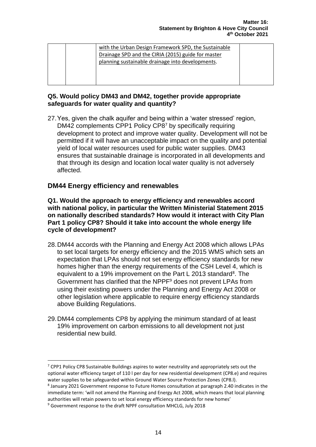|  | with the Urban Design Framework SPD, the Sustainable |  |
|--|------------------------------------------------------|--|
|  |                                                      |  |
|  | Drainage SPD and the CIRIA (2015) guide for master   |  |
|  | planning sustainable drainage into developments.     |  |
|  |                                                      |  |
|  |                                                      |  |
|  |                                                      |  |

#### **Q5. Would policy DM43 and DM42, together provide appropriate safeguards for water quality and quantity?**

27.Yes, given the chalk aquifer and being within a 'water stressed' region, DM42 complements CPP1 Policy CP8<sup>7</sup> by specifically requiring development to protect and improve water quality. Development will not be permitted if it will have an unacceptable impact on the quality and potential yield of local water resources used for public water supplies. DM43 ensures that sustainable drainage is incorporated in all developments and that through its design and location local water quality is not adversely affected.

# **DM44 Energy efficiency and renewables**

**Q1. Would the approach to energy efficiency and renewables accord with national policy, in particular the Written Ministerial Statement 2015 on nationally described standards? How would it interact with City Plan Part 1 policy CP8? Should it take into account the whole energy life cycle of development?**

- 28.DM44 accords with the Planning and Energy Act 2008 which allows LPAs to set local targets for energy efficiency and the 2015 WMS which sets an expectation that LPAs should not set energy efficiency standards for new homes higher than the energy requirements of the CSH Level 4, which is equivalent to a 19% improvement on the Part L 2013 standard<sup>8</sup>. The Government has clarified that the NPPF<sup>9</sup> does not prevent LPAs from using their existing powers under the Planning and Energy Act 2008 or other legislation where applicable to require energy efficiency standards above Building Regulations.
- 29.DM44 complements CP8 by applying the minimum standard of at least 19% improvement on carbon emissions to all development not just residential new build.

 $7$  CPP1 Policy CP8 Sustainable Buildings aspires to water neutrality and appropriately sets out the optional water efficiency target of 110 l per day for new residential development (CP8.e) and requires water supplies to be safeguarded within Ground Water Source Protection Zones (CP8.l).

<sup>&</sup>lt;sup>8</sup> January 2021 Government response to Future Homes consultation at paragraph 2.40 indicates in the immediate term: 'will not amend the Planning and Energy Act 2008, which means that local planning authorities will retain powers to set local energy efficiency standards for new homes'

<sup>9</sup> Government response to the draft NPPF consultation MHCLG, July 2018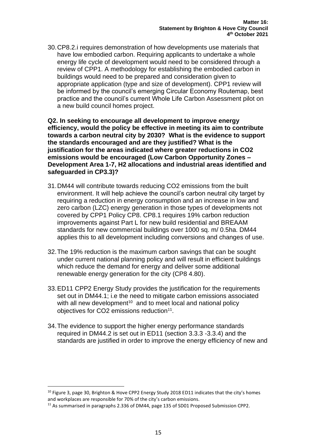30.CP8.2.i requires demonstration of how developments use materials that have low embodied carbon. Requiring applicants to undertake a whole energy life cycle of development would need to be considered through a review of CPP1. A methodology for establishing the embodied carbon in buildings would need to be prepared and consideration given to appropriate application (type and size of development). CPP1 review will be informed by the council's emerging Circular Economy Routemap, best practice and the council's current Whole Life Carbon Assessment pilot on a new build council homes project.

**Q2. In seeking to encourage all development to improve energy efficiency, would the policy be effective in meeting its aim to contribute towards a carbon neutral city by 2030? What is the evidence to support the standards encouraged and are they justified? What is the justification for the areas indicated where greater reductions in CO2 emissions would be encouraged (Low Carbon Opportunity Zones – Development Area 1-7, H2 allocations and industrial areas identified and safeguarded in CP3.3)?**

- 31.DM44 will contribute towards reducing CO2 emissions from the built environment. It will help achieve the council's carbon neutral city target by requiring a reduction in energy consumption and an increase in low and zero carbon (LZC) energy generation in those types of developments not covered by CPP1 Policy CP8. CP8.1 requires 19% carbon reduction improvements against Part L for new build residential and BREAAM standards for new commercial buildings over 1000 sq. m/ 0.5ha. DM44 applies this to all development including conversions and changes of use.
- 32.The 19% reduction is the maximum carbon savings that can be sought under current national planning policy and will result in efficient buildings which reduce the demand for energy and deliver some additional renewable energy generation for the city (CP8 4.80).
- 33.ED11 CPP2 Energy Study provides the justification for the requirements set out in DM44.1; i.e the need to mitigate carbon emissions associated with all new development<sup>10</sup> and to meet local and national policy objectives for CO2 emissions reduction $11$ .
- 34.The evidence to support the higher energy performance standards required in DM44.2 is set out in ED11 (section 3.3.3 -3.3.4) and the standards are justified in order to improve the energy efficiency of new and

<sup>&</sup>lt;sup>10</sup> Figure 3, page 30, Brighton & Hove CPP2 Energy Study 2018 ED11 indicates that the city's homes and workplaces are responsible for 70% of the city's carbon emissions.

<sup>&</sup>lt;sup>11</sup> As summarised in paragraphs 2.336 of DM44, page 135 of SD01 Proposed Submission CPP2.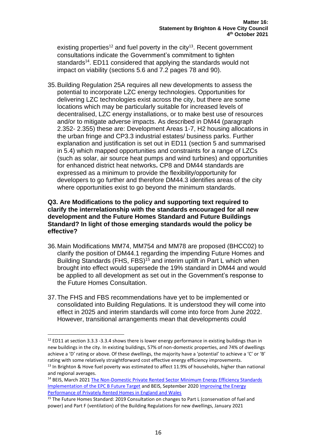existing properties<sup>12</sup> and fuel poverty in the city<sup>13</sup>. Recent government consultations indicate the Government's commitment to tighten standards<sup>14</sup>. ED11 considered that applying the standards would not impact on viability (sections 5.6 and 7.2 pages 78 and 90).

35.Building Regulation 25A requires all new developments to assess the potential to incorporate LZC energy technologies. Opportunities for delivering LZC technologies exist across the city, but there are some locations which may be particularly suitable for increased levels of decentralised, LZC energy installations, or to make best use of resources and/or to mitigate adverse impacts. As described in DM44 (paragraph 2.352- 2.355) these are: Development Areas 1-7, H2 housing allocations in the urban fringe and CP3.3 industrial estates/ business parks. Further explanation and justification is set out in ED11 (section 5 and summarised in 5.4) which mapped opportunities and constraints for a range of LZCs (such as solar, air source heat pumps and wind turbines) and opportunities for enhanced district heat networks**.** CP8 and DM44 standards are expressed as a minimum to provide the flexibility/opportunity for developers to go further and therefore DM44.3 identifies areas of the city where opportunities exist to go beyond the minimum standards.

#### **Q3. Are Modifications to the policy and supporting text required to clarify the interrelationship with the standards encouraged for all new development and the Future Homes Standard and Future Buildings Standard? In light of those emerging standards would the policy be effective?**

- 36.Main Modifications MM74, MM754 and MM78 are proposed (BHCC02) to clarify the position of DM44.1 regarding the impending Future Homes and Building Standards (FHS, FBS)<sup>15</sup> and interim uplift in Part L which when brought into effect would supersede the 19% standard in DM44 and would be applied to all development as set out in the Government's response to the Future Homes Consultation.
- 37.The FHS and FBS recommendations have yet to be implemented or consolidated into Building Regulations. It is understood they will come into effect in 2025 and interim standards will come into force from June 2022. However, transitional arrangements mean that developments could

 $12$  ED11 at section 3.3.3 -3.3.4 shows there is lower energy performance in existing buildings than in new buildings in the city. In existing buildings, 57% of non-domestic properties, and 74% of dwellings achieve a 'D' rating or above. Of these dwellings, the majority have a 'potential' to achieve a 'C' or 'B' rating with some relatively straightforward cost effective energy efficiency improvements.

 $<sup>13</sup>$  In Brighton & Hove fuel poverty was estimated to affect 11.9% of households, higher than national</sup> and regional averages.

<sup>&</sup>lt;sup>14</sup> BEIS, March 2021 [The Non-Domestic Private Rented Sector Minimum Energy Efficiency Standards](https://assets.publishing.service.gov.uk/government/uploads/system/uploads/attachment_data/file/970192/non-domestic-prs-mees-epc-b-future-trajectory-implementation.pdf) [Implementation of the EPC B Future Target](https://assets.publishing.service.gov.uk/government/uploads/system/uploads/attachment_data/file/970192/non-domestic-prs-mees-epc-b-future-trajectory-implementation.pdf) and BEIS, September 202[0 Improving the Energy](https://assets.publishing.service.gov.uk/government/uploads/system/uploads/attachment_data/file/946175/prs-consultation-2020.pdf)  [Performance of Privately Rented Homes in England and Wales](https://assets.publishing.service.gov.uk/government/uploads/system/uploads/attachment_data/file/946175/prs-consultation-2020.pdf)

<sup>&</sup>lt;sup>15</sup> The Future Homes Standard: 2019 Consultation on changes to Part L (conservation of fuel and power) and Part F (ventilation) of the Building Regulations for new dwellings, January 2021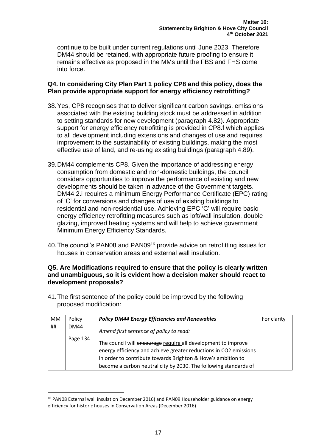continue to be built under current regulations until June 2023. Therefore DM44 should be retained, with appropriate future proofing to ensure it remains effective as proposed in the MMs until the FBS and FHS come into force.

#### **Q4. In considering City Plan Part 1 policy CP8 and this policy, does the Plan provide appropriate support for energy efficiency retrofitting?**

- 38.Yes, CP8 recognises that to deliver significant carbon savings, emissions associated with the existing building stock must be addressed in addition to setting standards for new development (paragraph 4.82). Appropriate support for energy efficiency retrofitting is provided in CP8.f which applies to all development including extensions and changes of use and requires improvement to the sustainability of existing buildings, making the most effective use of land, and re-using existing buildings (paragraph 4.89).
- 39.DM44 complements CP8. Given the importance of addressing energy consumption from domestic and non-domestic buildings, the council considers opportunities to improve the performance of existing and new developments should be taken in advance of the Government targets. DM44.2.i requires a minimum Energy Performance Certificate (EPC) rating of 'C' for conversions and changes of use of existing buildings to residential and non-residential use. Achieving EPC 'C' will require basic energy efficiency retrofitting measures such as loft/wall insulation, double glazing, improved heating systems and will help to achieve government Minimum Energy Efficiency Standards.
- 40.The council's PAN08 and PAN09<sup>16</sup> provide advice on retrofitting issues for houses in conservation areas and external wall insulation.

#### **Q5. Are Modifications required to ensure that the policy is clearly written and unambiguous, so it is evident how a decision maker should react to development proposals?**

41.The first sentence of the policy could be improved by the following proposed modification:

| <b>MM</b> | Policy      | <b>Policy DM44 Energy Efficiencies and Renewables</b>             | For clarity |
|-----------|-------------|-------------------------------------------------------------------|-------------|
| ##        | <b>DM44</b> | Amend first sentence of policy to read:                           |             |
|           | Page 134    | The council will encourage require all development to improve     |             |
|           |             | energy efficiency and achieve greater reductions in CO2 emissions |             |
|           |             | in order to contribute towards Brighton & Hove's ambition to      |             |
|           |             | become a carbon neutral city by 2030. The following standards of  |             |

<sup>&</sup>lt;sup>16</sup> PAN08 External wall insulation December 2016) and PAN09 Householder guidance on energy efficiency for historic houses in Conservation Areas (December 2016)